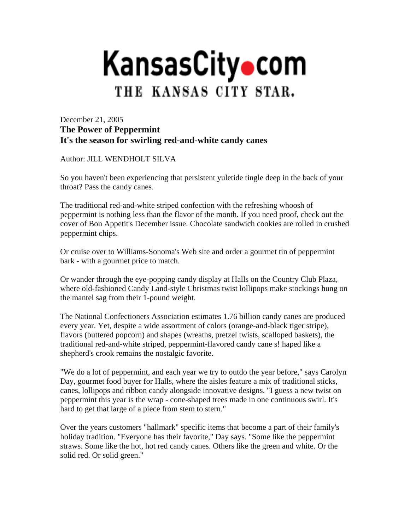## **KansasCity**•com THE KANSAS CITY STAR.

December 21, 2005 **The Power of Peppermint It's the season for swirling red-and-white candy canes**

Author: JILL WENDHOLT SILVA

So you haven't been experiencing that persistent yuletide tingle deep in the back of your throat? Pass the candy canes.

The traditional red-and-white striped confection with the refreshing whoosh of peppermint is nothing less than the flavor of the month. If you need proof, check out the cover of Bon Appetit's December issue. Chocolate sandwich cookies are rolled in crushed peppermint chips.

Or cruise over to Williams-Sonoma's Web site and order a gourmet tin of peppermint bark - with a gourmet price to match.

Or wander through the eye-popping candy display at Halls on the Country Club Plaza, where old-fashioned Candy Land-style Christmas twist lollipops make stockings hung on the mantel sag from their 1-pound weight.

The National Confectioners Association estimates 1.76 billion candy canes are produced every year. Yet, despite a wide assortment of colors (orange-and-black tiger stripe), flavors (buttered popcorn) and shapes (wreaths, pretzel twists, scalloped baskets), the traditional red-and-white striped, peppermint-flavored candy cane s! haped like a shepherd's crook remains the nostalgic favorite.

"We do a lot of peppermint, and each year we try to outdo the year before," says Carolyn Day, gourmet food buyer for Halls, where the aisles feature a mix of traditional sticks, canes, lollipops and ribbon candy alongside innovative designs. "I guess a new twist on peppermint this year is the wrap - cone-shaped trees made in one continuous swirl. It's hard to get that large of a piece from stem to stern."

Over the years customers "hallmark" specific items that become a part of their family's holiday tradition. "Everyone has their favorite," Day says. "Some like the peppermint straws. Some like the hot, hot red candy canes. Others like the green and white. Or the solid red. Or solid green."